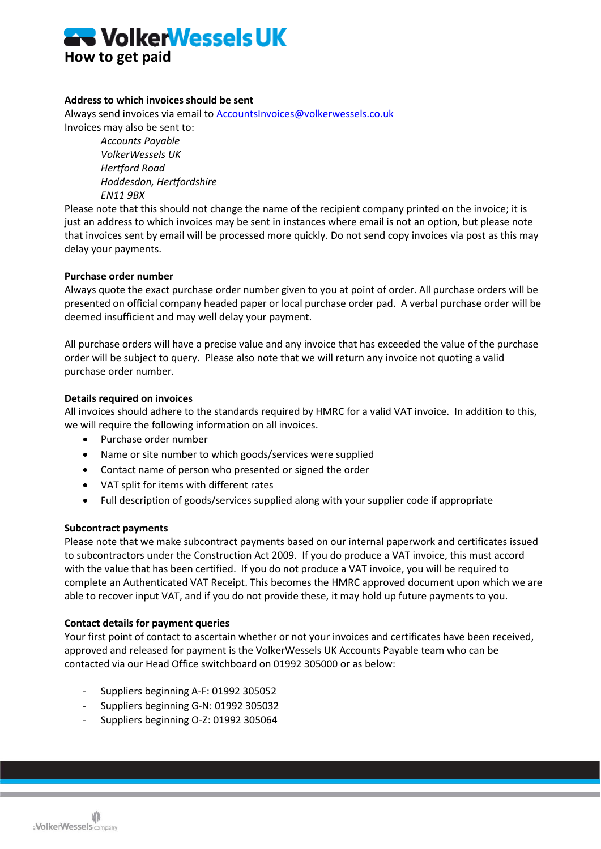

# **Address to which invoices should be sent**

Always send invoices via email to [AccountsInvoices@volkerwessels.co.uk](mailto:AccountsInvoices@volkerwessels.co.uk) Invoices may also be sent to:

> *Accounts Payable VolkerWessels UK Hertford Road Hoddesdon, Hertfordshire EN11 9BX*

Please note that this should not change the name of the recipient company printed on the invoice; it is just an address to which invoices may be sent in instances where email is not an option, but please note that invoices sent by email will be processed more quickly. Do not send copy invoices via post as this may delay your payments.

### **Purchase order number**

Always quote the exact purchase order number given to you at point of order. All purchase orders will be presented on official company headed paper or local purchase order pad. A verbal purchase order will be deemed insufficient and may well delay your payment.

All purchase orders will have a precise value and any invoice that has exceeded the value of the purchase order will be subject to query. Please also note that we will return any invoice not quoting a valid purchase order number.

# **Details required on invoices**

All invoices should adhere to the standards required by HMRC for a valid VAT invoice. In addition to this, we will require the following information on all invoices.

- Purchase order number
- Name or site number to which goods/services were supplied
- Contact name of person who presented or signed the order
- VAT split for items with different rates
- Full description of goods/services supplied along with your supplier code if appropriate

### **Subcontract payments**

Please note that we make subcontract payments based on our internal paperwork and certificates issued to subcontractors under the Construction Act 2009. If you do produce a VAT invoice, this must accord with the value that has been certified. If you do not produce a VAT invoice, you will be required to complete an Authenticated VAT Receipt. This becomes the HMRC approved document upon which we are able to recover input VAT, and if you do not provide these, it may hold up future payments to you.

### **Contact details for payment queries**

Your first point of contact to ascertain whether or not your invoices and certificates have been received, approved and released for payment is the VolkerWessels UK Accounts Payable team who can be contacted via our Head Office switchboard on 01992 305000 or as below:

- Suppliers beginning A-F: 01992 305052
- Suppliers beginning G-N: 01992 305032
- Suppliers beginning O-Z: 01992 305064